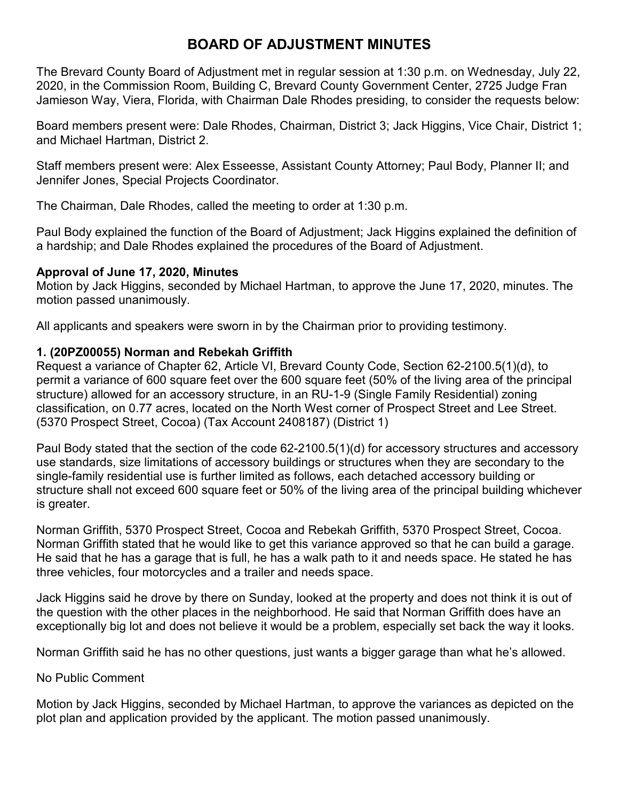# **BOARD OF ADJUSTMENT MINUTES**

The Brevard County Board of Adjustment met in regular session at 1:30 p.m. on Wednesday, July 22, 2020, in the Commission Room, Building C, Brevard County Government Center, 2725 Judge Fran Jamieson Way, Viera, Florida, with Chairman Dale Rhodes presiding, to consider the requests below:

Board members present were: Dale Rhodes, Chairman, District 3; Jack Higgins, Vice Chair, District 1; and Michael Hartman, District 2.

Staff members present were: Alex Esseesse, Assistant County Attorney; Paul Body, Planner II; and Jennifer Jones, Special Projects Coordinator.

The Chairman, Dale Rhodes, called the meeting to order at 1:30 p.m.

Paul Body explained the function of the Board of Adjustment; Jack Higgins explained the definition of a hardship; and Dale Rhodes explained the procedures of the Board of Adjustment.

### **Approval of June 17, 2020, Minutes**

Motion by Jack Higgins, seconded by Michael Hartman, to approve the June 17, 2020, minutes. The motion passed unanimously.

All applicants and speakers were sworn in by the Chairman prior to providing testimony.

# **1. (20PZ00055) Norman and Rebekah Griffith**

Request a variance of Chapter 62, Article VI, Brevard County Code, Section 62-2100.5(1)(d), to permit a variance of 600 square feet over the 600 square feet (50% of the living area of the principal structure) allowed for an accessory structure, in an RU-1-9 (Single Family Residential) zoning classification, on 0.77 acres, located on the North West corner of Prospect Street and Lee Street. (5370 Prospect Street, Cocoa) (Tax Account 2408187) (District 1)

Paul Body stated that the section of the code 62-2100.5(1)(d) for accessory structures and accessory use standards, size limitations of accessory buildings or structures when they are secondary to the single-family residential use is further limited as follows, each detached accessory building or structure shall not exceed 600 square feet or 50% of the living area of the principal building whichever is greater.

Norman Griffith, 5370 Prospect Street, Cocoa and Rebekah Griffith, 5370 Prospect Street, Cocoa. Norman Griffith stated that he would like to get this variance approved so that he can build a garage. He said that he has a garage that is full, he has a walk path to it and needs space. He stated he has three vehicles, four motorcycles and a trailer and needs space.

Jack Higgins said he drove by there on Sunday, looked at the property and does not think it is out of the question with the other places in the neighborhood. He said that Norman Griffith does have an exceptionally big lot and does not believe it would be a problem, especially set back the way it looks.

Norman Griffith said he has no other questions, just wants a bigger garage than what he's allowed.

# No Public Comment

Motion by Jack Higgins, seconded by Michael Hartman, to approve the variances as depicted on the plot plan and application provided by the applicant. The motion passed unanimously.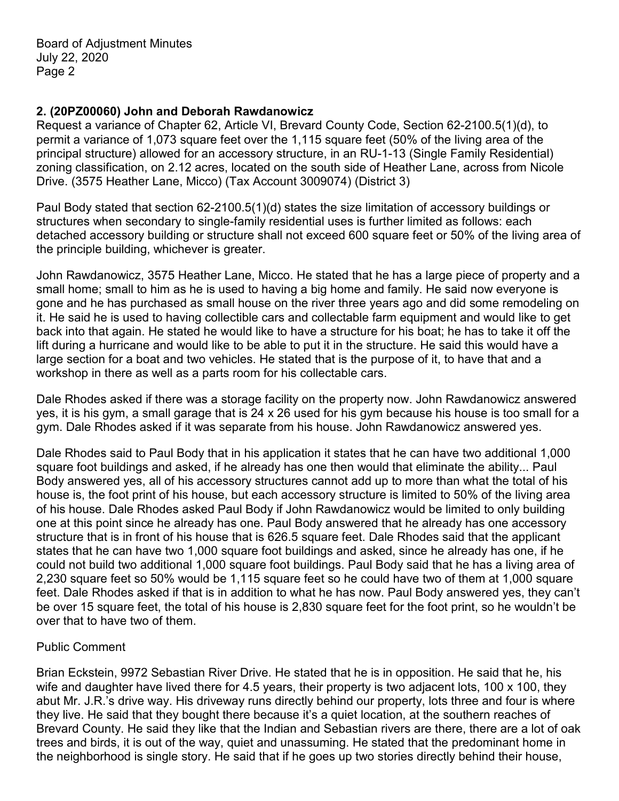### **2. (20PZ00060) John and Deborah Rawdanowicz**

Request a variance of Chapter 62, Article VI, Brevard County Code, Section 62-2100.5(1)(d), to permit a variance of 1,073 square feet over the 1,115 square feet (50% of the living area of the principal structure) allowed for an accessory structure, in an RU-1-13 (Single Family Residential) zoning classification, on 2.12 acres, located on the south side of Heather Lane, across from Nicole Drive. (3575 Heather Lane, Micco) (Tax Account 3009074) (District 3)

Paul Body stated that section 62-2100.5(1)(d) states the size limitation of accessory buildings or structures when secondary to single-family residential uses is further limited as follows: each detached accessory building or structure shall not exceed 600 square feet or 50% of the living area of the principle building, whichever is greater.

John Rawdanowicz, 3575 Heather Lane, Micco. He stated that he has a large piece of property and a small home; small to him as he is used to having a big home and family. He said now everyone is gone and he has purchased as small house on the river three years ago and did some remodeling on it. He said he is used to having collectible cars and collectable farm equipment and would like to get back into that again. He stated he would like to have a structure for his boat; he has to take it off the lift during a hurricane and would like to be able to put it in the structure. He said this would have a large section for a boat and two vehicles. He stated that is the purpose of it, to have that and a workshop in there as well as a parts room for his collectable cars.

Dale Rhodes asked if there was a storage facility on the property now. John Rawdanowicz answered yes, it is his gym, a small garage that is 24 x 26 used for his gym because his house is too small for a gym. Dale Rhodes asked if it was separate from his house. John Rawdanowicz answered yes.

Dale Rhodes said to Paul Body that in his application it states that he can have two additional 1,000 square foot buildings and asked, if he already has one then would that eliminate the ability... Paul Body answered yes, all of his accessory structures cannot add up to more than what the total of his house is, the foot print of his house, but each accessory structure is limited to 50% of the living area of his house. Dale Rhodes asked Paul Body if John Rawdanowicz would be limited to only building one at this point since he already has one. Paul Body answered that he already has one accessory structure that is in front of his house that is 626.5 square feet. Dale Rhodes said that the applicant states that he can have two 1,000 square foot buildings and asked, since he already has one, if he could not build two additional 1,000 square foot buildings. Paul Body said that he has a living area of 2,230 square feet so 50% would be 1,115 square feet so he could have two of them at 1,000 square feet. Dale Rhodes asked if that is in addition to what he has now. Paul Body answered yes, they can't be over 15 square feet, the total of his house is 2,830 square feet for the foot print, so he wouldn't be over that to have two of them.

#### Public Comment

Brian Eckstein, 9972 Sebastian River Drive. He stated that he is in opposition. He said that he, his wife and daughter have lived there for 4.5 years, their property is two adjacent lots, 100 x 100, they abut Mr. J.R.'s drive way. His driveway runs directly behind our property, lots three and four is where they live. He said that they bought there because it's a quiet location, at the southern reaches of Brevard County. He said they like that the Indian and Sebastian rivers are there, there are a lot of oak trees and birds, it is out of the way, quiet and unassuming. He stated that the predominant home in the neighborhood is single story. He said that if he goes up two stories directly behind their house,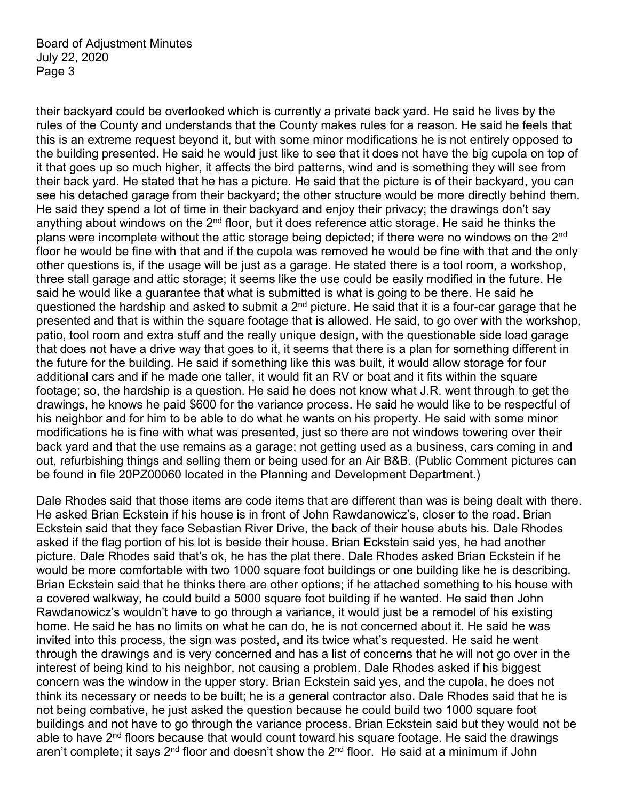their backyard could be overlooked which is currently a private back yard. He said he lives by the rules of the County and understands that the County makes rules for a reason. He said he feels that this is an extreme request beyond it, but with some minor modifications he is not entirely opposed to the building presented. He said he would just like to see that it does not have the big cupola on top of it that goes up so much higher, it affects the bird patterns, wind and is something they will see from their back yard. He stated that he has a picture. He said that the picture is of their backyard, you can see his detached garage from their backyard; the other structure would be more directly behind them. He said they spend a lot of time in their backyard and enjoy their privacy; the drawings don't say anything about windows on the 2<sup>nd</sup> floor, but it does reference attic storage. He said he thinks the plans were incomplete without the attic storage being depicted; if there were no windows on the 2<sup>nd</sup> floor he would be fine with that and if the cupola was removed he would be fine with that and the only other questions is, if the usage will be just as a garage. He stated there is a tool room, a workshop, three stall garage and attic storage; it seems like the use could be easily modified in the future. He said he would like a guarantee that what is submitted is what is going to be there. He said he questioned the hardship and asked to submit a 2<sup>nd</sup> picture. He said that it is a four-car garage that he presented and that is within the square footage that is allowed. He said, to go over with the workshop, patio, tool room and extra stuff and the really unique design, with the questionable side load garage that does not have a drive way that goes to it, it seems that there is a plan for something different in the future for the building. He said if something like this was built, it would allow storage for four additional cars and if he made one taller, it would fit an RV or boat and it fits within the square footage; so, the hardship is a question. He said he does not know what J.R. went through to get the drawings, he knows he paid \$600 for the variance process. He said he would like to be respectful of his neighbor and for him to be able to do what he wants on his property. He said with some minor modifications he is fine with what was presented, just so there are not windows towering over their back yard and that the use remains as a garage; not getting used as a business, cars coming in and out, refurbishing things and selling them or being used for an Air B&B. (Public Comment pictures can be found in file 20PZ00060 located in the Planning and Development Department.)

Dale Rhodes said that those items are code items that are different than was is being dealt with there. He asked Brian Eckstein if his house is in front of John Rawdanowicz's, closer to the road. Brian Eckstein said that they face Sebastian River Drive, the back of their house abuts his. Dale Rhodes asked if the flag portion of his lot is beside their house. Brian Eckstein said yes, he had another picture. Dale Rhodes said that's ok, he has the plat there. Dale Rhodes asked Brian Eckstein if he would be more comfortable with two 1000 square foot buildings or one building like he is describing. Brian Eckstein said that he thinks there are other options; if he attached something to his house with a covered walkway, he could build a 5000 square foot building if he wanted. He said then John Rawdanowicz's wouldn't have to go through a variance, it would just be a remodel of his existing home. He said he has no limits on what he can do, he is not concerned about it. He said he was invited into this process, the sign was posted, and its twice what's requested. He said he went through the drawings and is very concerned and has a list of concerns that he will not go over in the interest of being kind to his neighbor, not causing a problem. Dale Rhodes asked if his biggest concern was the window in the upper story. Brian Eckstein said yes, and the cupola, he does not think its necessary or needs to be built; he is a general contractor also. Dale Rhodes said that he is not being combative, he just asked the question because he could build two 1000 square foot buildings and not have to go through the variance process. Brian Eckstein said but they would not be able to have 2<sup>nd</sup> floors because that would count toward his square footage. He said the drawings aren't complete; it says 2<sup>nd</sup> floor and doesn't show the 2<sup>nd</sup> floor. He said at a minimum if John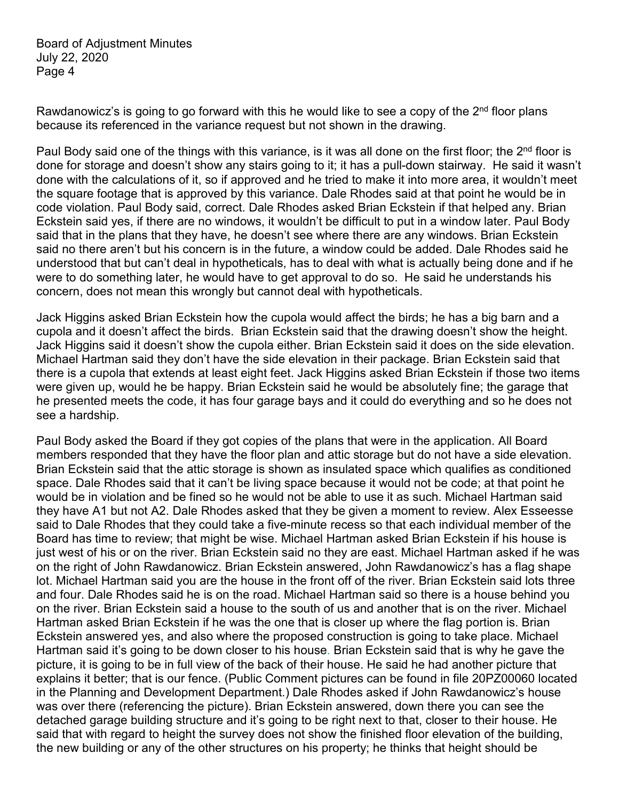Rawdanowicz's is going to go forward with this he would like to see a copy of the  $2<sup>nd</sup>$  floor plans because its referenced in the variance request but not shown in the drawing.

Paul Body said one of the things with this variance, is it was all done on the first floor; the 2<sup>nd</sup> floor is done for storage and doesn't show any stairs going to it; it has a pull-down stairway. He said it wasn't done with the calculations of it, so if approved and he tried to make it into more area, it wouldn't meet the square footage that is approved by this variance. Dale Rhodes said at that point he would be in code violation. Paul Body said, correct. Dale Rhodes asked Brian Eckstein if that helped any. Brian Eckstein said yes, if there are no windows, it wouldn't be difficult to put in a window later. Paul Body said that in the plans that they have, he doesn't see where there are any windows. Brian Eckstein said no there aren't but his concern is in the future, a window could be added. Dale Rhodes said he understood that but can't deal in hypotheticals, has to deal with what is actually being done and if he were to do something later, he would have to get approval to do so. He said he understands his concern, does not mean this wrongly but cannot deal with hypotheticals.

Jack Higgins asked Brian Eckstein how the cupola would affect the birds; he has a big barn and a cupola and it doesn't affect the birds. Brian Eckstein said that the drawing doesn't show the height. Jack Higgins said it doesn't show the cupola either. Brian Eckstein said it does on the side elevation. Michael Hartman said they don't have the side elevation in their package. Brian Eckstein said that there is a cupola that extends at least eight feet. Jack Higgins asked Brian Eckstein if those two items were given up, would he be happy. Brian Eckstein said he would be absolutely fine; the garage that he presented meets the code, it has four garage bays and it could do everything and so he does not see a hardship.

Paul Body asked the Board if they got copies of the plans that were in the application. All Board members responded that they have the floor plan and attic storage but do not have a side elevation. Brian Eckstein said that the attic storage is shown as insulated space which qualifies as conditioned space. Dale Rhodes said that it can't be living space because it would not be code; at that point he would be in violation and be fined so he would not be able to use it as such. Michael Hartman said they have A1 but not A2. Dale Rhodes asked that they be given a moment to review. Alex Esseesse said to Dale Rhodes that they could take a five-minute recess so that each individual member of the Board has time to review; that might be wise. Michael Hartman asked Brian Eckstein if his house is just west of his or on the river. Brian Eckstein said no they are east. Michael Hartman asked if he was on the right of John Rawdanowicz. Brian Eckstein answered, John Rawdanowicz's has a flag shape lot. Michael Hartman said you are the house in the front off of the river. Brian Eckstein said lots three and four. Dale Rhodes said he is on the road. Michael Hartman said so there is a house behind you on the river. Brian Eckstein said a house to the south of us and another that is on the river. Michael Hartman asked Brian Eckstein if he was the one that is closer up where the flag portion is. Brian Eckstein answered yes, and also where the proposed construction is going to take place. Michael Hartman said it's going to be down closer to his house. Brian Eckstein said that is why he gave the picture, it is going to be in full view of the back of their house. He said he had another picture that explains it better; that is our fence. (Public Comment pictures can be found in file 20PZ00060 located in the Planning and Development Department.) Dale Rhodes asked if John Rawdanowicz's house was over there (referencing the picture). Brian Eckstein answered, down there you can see the detached garage building structure and it's going to be right next to that, closer to their house. He said that with regard to height the survey does not show the finished floor elevation of the building, the new building or any of the other structures on his property; he thinks that height should be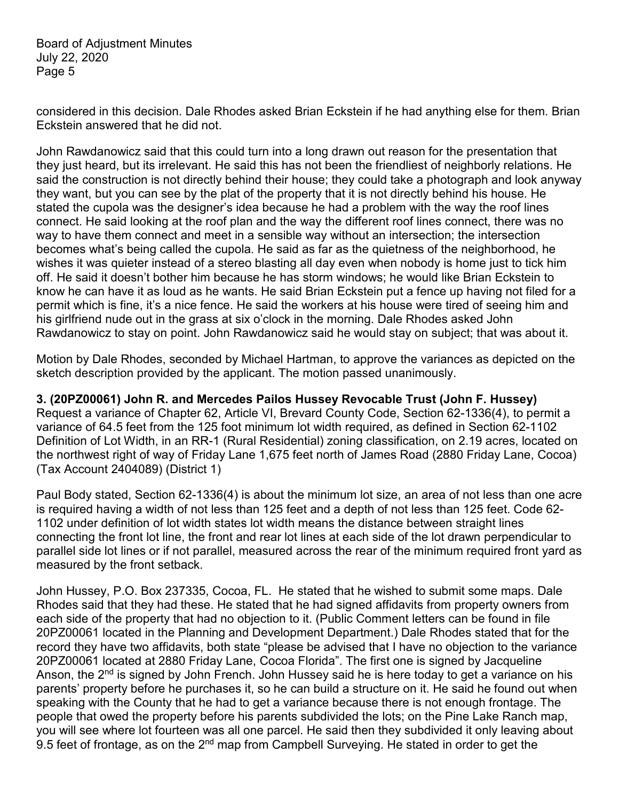considered in this decision. Dale Rhodes asked Brian Eckstein if he had anything else for them. Brian Eckstein answered that he did not.

John Rawdanowicz said that this could turn into a long drawn out reason for the presentation that they just heard, but its irrelevant. He said this has not been the friendliest of neighborly relations. He said the construction is not directly behind their house; they could take a photograph and look anyway they want, but you can see by the plat of the property that it is not directly behind his house. He stated the cupola was the designer's idea because he had a problem with the way the roof lines connect. He said looking at the roof plan and the way the different roof lines connect, there was no way to have them connect and meet in a sensible way without an intersection; the intersection becomes what's being called the cupola. He said as far as the quietness of the neighborhood, he wishes it was quieter instead of a stereo blasting all day even when nobody is home just to tick him off. He said it doesn't bother him because he has storm windows; he would like Brian Eckstein to know he can have it as loud as he wants. He said Brian Eckstein put a fence up having not filed for a permit which is fine, it's a nice fence. He said the workers at his house were tired of seeing him and his girlfriend nude out in the grass at six o'clock in the morning. Dale Rhodes asked John Rawdanowicz to stay on point. John Rawdanowicz said he would stay on subject; that was about it.

Motion by Dale Rhodes, seconded by Michael Hartman, to approve the variances as depicted on the sketch description provided by the applicant. The motion passed unanimously.

**3. (20PZ00061) John R. and Mercedes Pailos Hussey Revocable Trust (John F. Hussey)** Request a variance of Chapter 62, Article VI, Brevard County Code, Section 62-1336(4), to permit a variance of 64.5 feet from the 125 foot minimum lot width required, as defined in Section 62-1102 Definition of Lot Width, in an RR-1 (Rural Residential) zoning classification, on 2.19 acres, located on the northwest right of way of Friday Lane 1,675 feet north of James Road (2880 Friday Lane, Cocoa) (Tax Account 2404089) (District 1)

Paul Body stated, Section 62-1336(4) is about the minimum lot size, an area of not less than one acre is required having a width of not less than 125 feet and a depth of not less than 125 feet. Code 62- 1102 under definition of lot width states lot width means the distance between straight lines connecting the front lot line, the front and rear lot lines at each side of the lot drawn perpendicular to parallel side lot lines or if not parallel, measured across the rear of the minimum required front yard as measured by the front setback.

John Hussey, P.O. Box 237335, Cocoa, FL. He stated that he wished to submit some maps. Dale Rhodes said that they had these. He stated that he had signed affidavits from property owners from each side of the property that had no objection to it. (Public Comment letters can be found in file 20PZ00061 located in the Planning and Development Department.) Dale Rhodes stated that for the record they have two affidavits, both state "please be advised that I have no objection to the variance 20PZ00061 located at 2880 Friday Lane, Cocoa Florida". The first one is signed by Jacqueline Anson, the 2<sup>nd</sup> is signed by John French. John Hussey said he is here today to get a variance on his parents' property before he purchases it, so he can build a structure on it. He said he found out when speaking with the County that he had to get a variance because there is not enough frontage. The people that owed the property before his parents subdivided the lots; on the Pine Lake Ranch map, you will see where lot fourteen was all one parcel. He said then they subdivided it only leaving about 9.5 feet of frontage, as on the 2<sup>nd</sup> map from Campbell Surveying. He stated in order to get the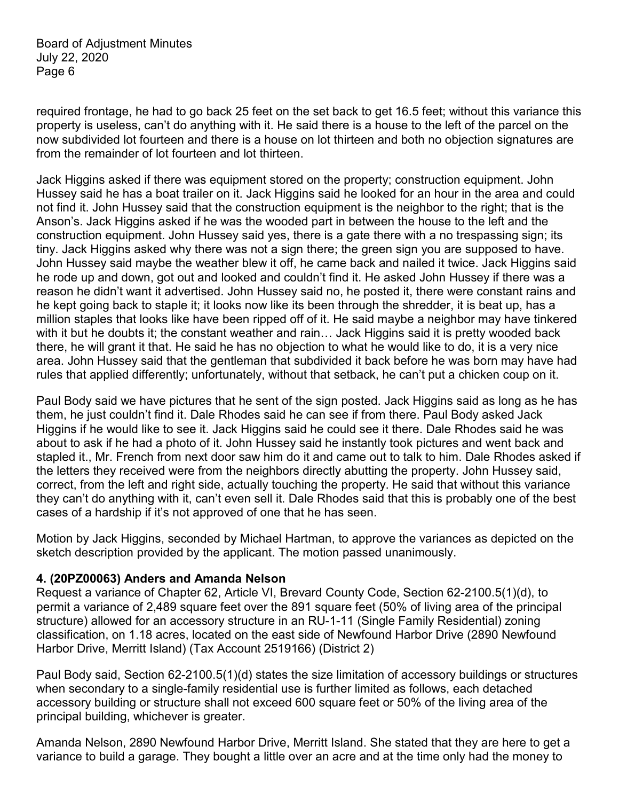required frontage, he had to go back 25 feet on the set back to get 16.5 feet; without this variance this property is useless, can't do anything with it. He said there is a house to the left of the parcel on the now subdivided lot fourteen and there is a house on lot thirteen and both no objection signatures are from the remainder of lot fourteen and lot thirteen.

Jack Higgins asked if there was equipment stored on the property; construction equipment. John Hussey said he has a boat trailer on it. Jack Higgins said he looked for an hour in the area and could not find it. John Hussey said that the construction equipment is the neighbor to the right; that is the Anson's. Jack Higgins asked if he was the wooded part in between the house to the left and the construction equipment. John Hussey said yes, there is a gate there with a no trespassing sign; its tiny. Jack Higgins asked why there was not a sign there; the green sign you are supposed to have. John Hussey said maybe the weather blew it off, he came back and nailed it twice. Jack Higgins said he rode up and down, got out and looked and couldn't find it. He asked John Hussey if there was a reason he didn't want it advertised. John Hussey said no, he posted it, there were constant rains and he kept going back to staple it; it looks now like its been through the shredder, it is beat up, has a million staples that looks like have been ripped off of it. He said maybe a neighbor may have tinkered with it but he doubts it; the constant weather and rain… Jack Higgins said it is pretty wooded back there, he will grant it that. He said he has no objection to what he would like to do, it is a very nice area. John Hussey said that the gentleman that subdivided it back before he was born may have had rules that applied differently; unfortunately, without that setback, he can't put a chicken coup on it.

Paul Body said we have pictures that he sent of the sign posted. Jack Higgins said as long as he has them, he just couldn't find it. Dale Rhodes said he can see if from there. Paul Body asked Jack Higgins if he would like to see it. Jack Higgins said he could see it there. Dale Rhodes said he was about to ask if he had a photo of it. John Hussey said he instantly took pictures and went back and stapled it., Mr. French from next door saw him do it and came out to talk to him. Dale Rhodes asked if the letters they received were from the neighbors directly abutting the property. John Hussey said, correct, from the left and right side, actually touching the property. He said that without this variance they can't do anything with it, can't even sell it. Dale Rhodes said that this is probably one of the best cases of a hardship if it's not approved of one that he has seen.

Motion by Jack Higgins, seconded by Michael Hartman, to approve the variances as depicted on the sketch description provided by the applicant. The motion passed unanimously.

#### **4. (20PZ00063) Anders and Amanda Nelson**

Request a variance of Chapter 62, Article VI, Brevard County Code, Section 62-2100.5(1)(d), to permit a variance of 2,489 square feet over the 891 square feet (50% of living area of the principal structure) allowed for an accessory structure in an RU-1-11 (Single Family Residential) zoning classification, on 1.18 acres, located on the east side of Newfound Harbor Drive (2890 Newfound Harbor Drive, Merritt Island) (Tax Account 2519166) (District 2)

Paul Body said, Section 62-2100.5(1)(d) states the size limitation of accessory buildings or structures when secondary to a single-family residential use is further limited as follows, each detached accessory building or structure shall not exceed 600 square feet or 50% of the living area of the principal building, whichever is greater.

Amanda Nelson, 2890 Newfound Harbor Drive, Merritt Island. She stated that they are here to get a variance to build a garage. They bought a little over an acre and at the time only had the money to